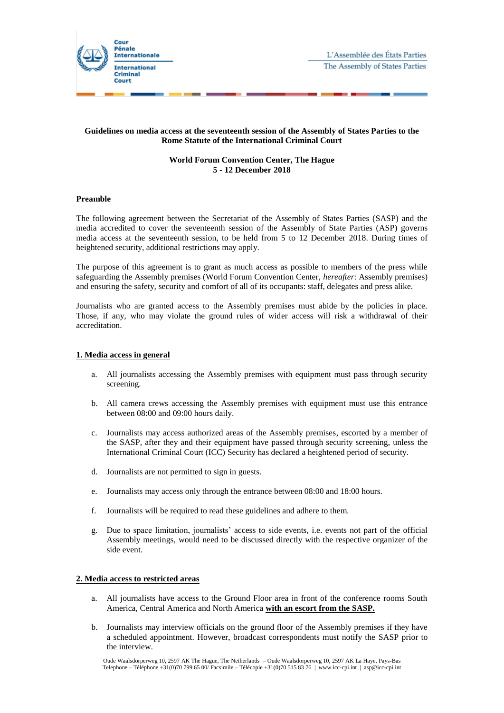

# **Guidelines on media access at the seventeenth session of the Assembly of States Parties to the Rome Statute of the International Criminal Court**

# **World Forum Convention Center, The Hague 5 - 12 December 2018**

#### **Preamble**

The following agreement between the Secretariat of the Assembly of States Parties (SASP) and the media accredited to cover the seventeenth session of the Assembly of State Parties (ASP) governs media access at the seventeenth session, to be held from 5 to 12 December 2018. During times of heightened security, additional restrictions may apply.

The purpose of this agreement is to grant as much access as possible to members of the press while safeguarding the Assembly premises (World Forum Convention Center, *hereafter*: Assembly premises) and ensuring the safety, security and comfort of all of its occupants: staff, delegates and press alike.

Journalists who are granted access to the Assembly premises must abide by the policies in place. Those, if any, who may violate the ground rules of wider access will risk a withdrawal of their accreditation.

### **1. Media access in general**

- a. All journalists accessing the Assembly premises with equipment must pass through security screening.
- b. All camera crews accessing the Assembly premises with equipment must use this entrance between 08:00 and 09:00 hours daily.
- c. Journalists may access authorized areas of the Assembly premises, escorted by a member of the SASP, after they and their equipment have passed through security screening, unless the International Criminal Court (ICC) Security has declared a heightened period of security.
- d. Journalists are not permitted to sign in guests.
- e. Journalists may access only through the entrance between 08:00 and 18:00 hours.
- f. Journalists will be required to read these guidelines and adhere to them.
- g. Due to space limitation, journalists' access to side events, i.e. events not part of the official Assembly meetings, would need to be discussed directly with the respective organizer of the side event.

### **2. Media access to restricted areas**

- a. All journalists have access to the Ground Floor area in front of the conference rooms South America, Central America and North America **with an escort from the SASP.**
- b. Journalists may interview officials on the ground floor of the Assembly premises if they have a scheduled appointment. However, broadcast correspondents must notify the SASP prior to the interview.

Oude Waalsdorperweg 10, 2597 AK The Hague, The Netherlands – Oude Waalsdorperweg 10, 2597 AK La Haye, Pays-Bas Telephone – Téléphone +31(0)70 799 65 00/ Facsimile – Télécopie +31(0)70 515 83 76 | www.icc-cpi.int | asp@icc-cpi.int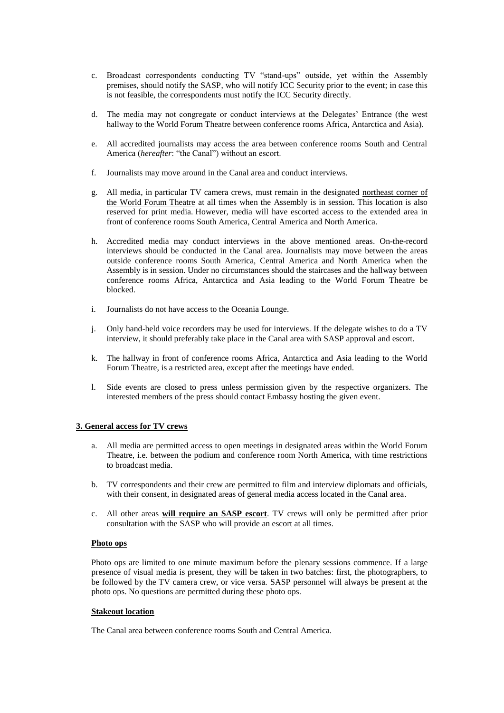- c. Broadcast correspondents conducting TV "stand-ups" outside, yet within the Assembly premises, should notify the SASP, who will notify ICC Security prior to the event; in case this is not feasible, the correspondents must notify the ICC Security directly.
- d. The media may not congregate or conduct interviews at the Delegates' Entrance (the west hallway to the World Forum Theatre between conference rooms Africa, Antarctica and Asia).
- e. All accredited journalists may access the area between conference rooms South and Central America (*hereafter*: "the Canal") without an escort.
- f. Journalists may move around in the Canal area and conduct interviews.
- g. All media, in particular TV camera crews, must remain in the designated northeast corner of the World Forum Theatre at all times when the Assembly is in session. This location is also reserved for print media. However, media will have escorted access to the extended area in front of conference rooms South America, Central America and North America.
- h. Accredited media may conduct interviews in the above mentioned areas. On-the-record interviews should be conducted in the Canal area. Journalists may move between the areas outside conference rooms South America, Central America and North America when the Assembly is in session. Under no circumstances should the staircases and the hallway between conference rooms Africa, Antarctica and Asia leading to the World Forum Theatre be blocked.
- i. Journalists do not have access to the Oceania Lounge.
- j. Only hand-held voice recorders may be used for interviews. If the delegate wishes to do a TV interview, it should preferably take place in the Canal area with SASP approval and escort.
- k. The hallway in front of conference rooms Africa, Antarctica and Asia leading to the World Forum Theatre, is a restricted area, except after the meetings have ended.
- l. Side events are closed to press unless permission given by the respective organizers. The interested members of the press should contact Embassy hosting the given event.

# **3. General access for TV crews**

- a. All media are permitted access to open meetings in designated areas within the World Forum Theatre, i.e. between the podium and conference room North America, with time restrictions to broadcast media.
- b. TV correspondents and their crew are permitted to film and interview diplomats and officials, with their consent, in designated areas of general media access located in the Canal area.
- c. All other areas **will require an SASP escort**. TV crews will only be permitted after prior consultation with the SASP who will provide an escort at all times.

#### **Photo ops**

Photo ops are limited to one minute maximum before the plenary sessions commence. If a large presence of visual media is present, they will be taken in two batches: first, the photographers, to be followed by the TV camera crew, or vice versa. SASP personnel will always be present at the photo ops. No questions are permitted during these photo ops.

### **Stakeout location**

The Canal area between conference rooms South and Central America.